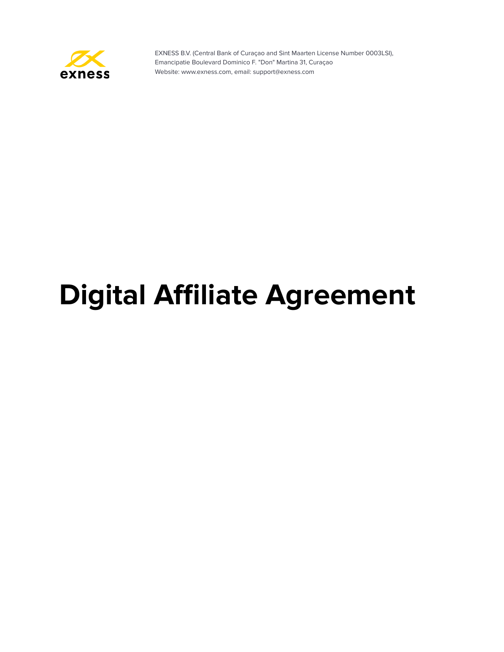

# **Digital Affiliate Agreement**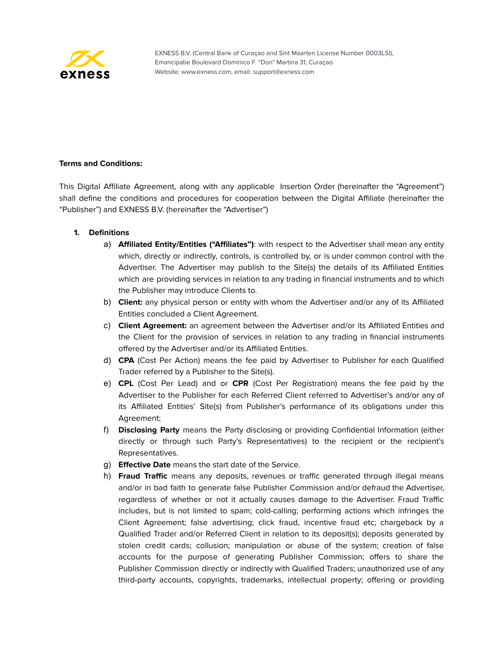

# **Terms and Conditions:**

This Digital Affiliate Agreement, along with any applicable Insertion Order (hereinafter the "Agreement") shall define the conditions and procedures for cooperation between the Digital Affiliate (hereinafter the "Publisher") and EXNESS B.V. (hereinafter the "Advertiser")

## **1. Definitions**

- a) **Affiliated Entity/Entities ("Affiliates")**: with respect to the Advertiser shall mean any entity which, directly or indirectly, controls, is controlled by, or is under common control with the Advertiser. The Advertiser may publish to the Site(s) the details of its Affiliated Entities which are providing services in relation to any trading in financial instruments and to which the Publisher may introduce Clients to.
- b) **Client:** any physical person or entity with whom the Advertiser and/or any of its Affiliated Entities concluded a Client Agreement.
- c) **Client Agreement:** an agreement between the Advertiser and/or its Affiliated Entities and the Client for the provision of services in relation to any trading in financial instruments offered by the Advertiser and/or its Affiliated Entities.
- d) **CPA** (Cost Per Action) means the fee paid by Advertiser to Publisher for each Qualified Trader referred by a Publisher to the Site(s).
- e) **CPL** (Cost Per Lead) and or **CPR** (Cost Per Registration) means the fee paid by the Advertiser to the Publisher for each Referred Client referred to Advertiser's and/or any of its Affiliated Entities' Site(s) from Publisher's performance of its obligations under this Agreement;
- f) **Disclosing Party** means the Party disclosing or providing Confidential Information (either directly or through such Party's Representatives) to the recipient or the recipient's Representatives.
- g) **Effective Date** means the start date of the Service.
- h) **Fraud Traffic** means any deposits, revenues or traffic generated through illegal means and/or in bad faith to generate false Publisher Commission and/or defraud the Advertiser, regardless of whether or not it actually causes damage to the Advertiser. Fraud Traffic includes, but is not limited to spam; cold-calling; performing actions which infringes the Client Agreement; false advertising; click fraud, incentive fraud etc; chargeback by a Qualified Trader and/or Referred Client in relation to its deposit(s); deposits generated by stolen credit cards; collusion; manipulation or abuse of the system; creation of false accounts for the purpose of generating Publisher Commission; offers to share the Publisher Commission directly or indirectly with Qualified Traders; unauthorized use of any third-party accounts, copyrights, trademarks, intellectual property; offering or providing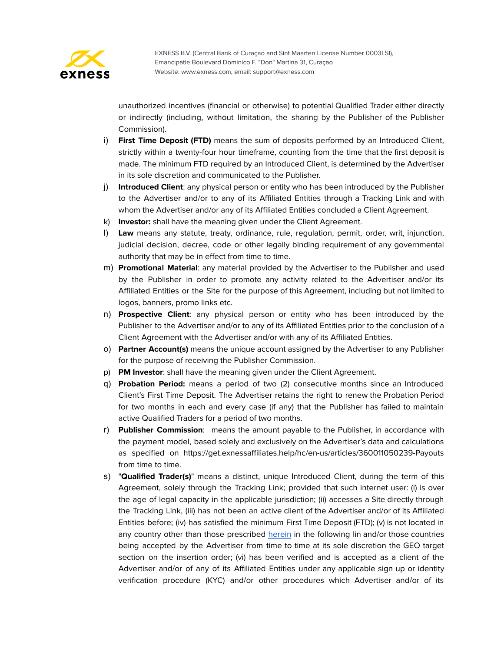

unauthorized incentives (financial or otherwise) to potential Qualified Trader either directly or indirectly (including, without limitation, the sharing by the Publisher of the Publisher Commission).

- i) **First Time Deposit (FTD)** means the sum of deposits performed by an Introduced Client, strictly within a twenty-four hour timeframe, counting from the time that the first deposit is made. The minimum FTD required by an Introduced Client, is determined by the Advertiser in its sole discretion and communicated to the Publisher.
- j) **Introduced Client**: any physical person or entity who has been introduced by the Publisher to the Advertiser and/or to any of its Affiliated Entities through a Tracking Link and with whom the Advertiser and/or any of its Affiliated Entities concluded a Client Agreement.
- k) **Investor:** shall have the meaning given under the Client Agreement.
- l) **Law** means any statute, treaty, ordinance, rule, regulation, permit, order, writ, injunction, judicial decision, decree, code or other legally binding requirement of any governmental authority that may be in effect from time to time.
- m) **Promotional Material**: any material provided by the Advertiser to the Publisher and used by the Publisher in order to promote any activity related to the Advertiser and/or its Affiliated Entities or the Site for the purpose of this Agreement, including but not limited to logos, banners, promo links etc.
- n) **Prospective Client**: any physical person or entity who has been introduced by the Publisher to the Advertiser and/or to any of its Affiliated Entities prior to the conclusion of a Client Agreement with the Advertiser and/or with any of its Affiliated Entities.
- o) **Partner Account(s)** means the unique account assigned by the Advertiser to any Publisher for the purpose of receiving the Publisher Commission.
- p) **PM Investor**: shall have the meaning given under the Client Agreement.
- q) **Probation Period:** means a period of two (2) consecutive months since an Introduced Client's First Time Deposit. The Advertiser retains the right to renew the Probation Period for two months in each and every case (if any) that the Publisher has failed to maintain active Qualified Traders for a period of two months.
- r) **Publisher Commission**: means the amount payable to the Publisher, in accordance with the payment model, based solely and exclusively on the Advertiser's data and calculations as specified on https://get.exnessaffiliates.help/hc/en-us/articles/360011050239-Payouts from time to time.
- s) "**Qualified Trader(s)**" means a distinct, unique Introduced Client, during the term of this Agreement, solely through the Tracking Link; provided that such internet user: (i) is over the age of legal capacity in the applicable jurisdiction; (ii) accesses a Site directly through the Tracking Link, (iii) has not been an active client of the Advertiser and/or of its Affiliated Entities before; (iv) has satisfied the minimum First Time Deposit (FTD); (v) is not located in any country other than those prescribed [herein](https://get.exnessaffiliates.help/hc/en-us/articles/360011050239-Payouts) in the following lin and/or those countries being accepted by the Advertiser from time to time at its sole discretion the GEO target section on the insertion order; (vi) has been verified and is accepted as a client of the Advertiser and/or of any of its Affiliated Entities under any applicable sign up or identity verification procedure (KYC) and/or other procedures which Advertiser and/or of its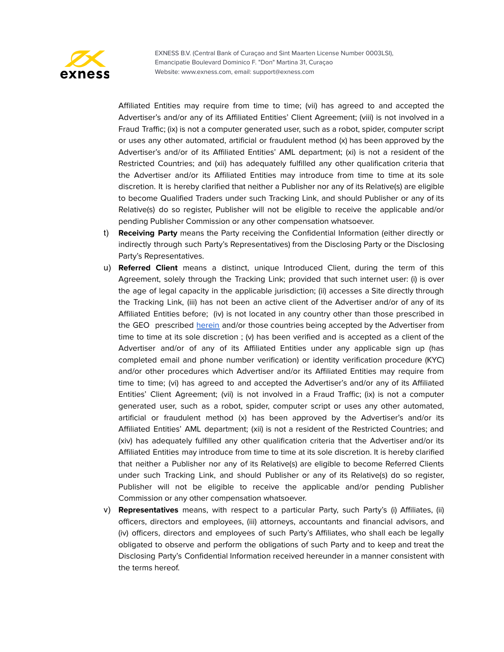

Affiliated Entities may require from time to time; (vii) has agreed to and accepted the Advertiser's and/or any of its Affiliated Entities' Client Agreement; (viii) is not involved in a Fraud Traffic; (ix) is not a computer generated user, such as a robot, spider, computer script or uses any other automated, artificial or fraudulent method (x) has been approved by the Advertiser's and/or of its Affiliated Entities' AML department; (xi) is not a resident of the Restricted Countries; and (xii) has adequately fulfilled any other qualification criteria that the Advertiser and/or its Affiliated Entities may introduce from time to time at its sole discretion. It is hereby clarified that neither a Publisher nor any of its Relative(s) are eligible to become Qualified Traders under such Tracking Link, and should Publisher or any of its Relative(s) do so register, Publisher will not be eligible to receive the applicable and/or pending Publisher Commission or any other compensation whatsoever.

- t) **Receiving Party** means the Party receiving the Confidential Information (either directly or indirectly through such Party's Representatives) from the Disclosing Party or the Disclosing Party's Representatives.
- u) **Referred Client** means a distinct, unique Introduced Client, during the term of this Agreement, solely through the Tracking Link; provided that such internet user: (i) is over the age of legal capacity in the applicable jurisdiction; (ii) accesses a Site directly through the Tracking Link, (iii) has not been an active client of the Advertiser and/or of any of its Affiliated Entities before; (iv) is not located in any country other than those prescribed in the GEO prescribed [herein](https://get.exnessaffiliates.help/hc/en-us/articles/360011050239-Payouts) and/or those countries being accepted by the Advertiser from time to time at its sole discretion ; (v) has been verified and is accepted as a client of the Advertiser and/or of any of its Affiliated Entities under any applicable sign up (has completed email and phone number verification) or identity verification procedure (KYC) and/or other procedures which Advertiser and/or its Affiliated Entities may require from time to time; (vi) has agreed to and accepted the Advertiser's and/or any of its Affiliated Entities' Client Agreement; (vii) is not involved in a Fraud Traffic; (ix) is not a computer generated user, such as a robot, spider, computer script or uses any other automated, artificial or fraudulent method (x) has been approved by the Advertiser's and/or its Affiliated Entities' AML department; (xii) is not a resident of the Restricted Countries; and (xiv) has adequately fulfilled any other qualification criteria that the Advertiser and/or its Affiliated Entities may introduce from time to time at its sole discretion. It is hereby clarified that neither a Publisher nor any of its Relative(s) are eligible to become Referred Clients under such Tracking Link, and should Publisher or any of its Relative(s) do so register, Publisher will not be eligible to receive the applicable and/or pending Publisher Commission or any other compensation whatsoever.
- v) **Representatives** means, with respect to a particular Party, such Party's (i) Affiliates, (ii) officers, directors and employees, (iii) attorneys, accountants and financial advisors, and (iv) officers, directors and employees of such Party's Affiliates, who shall each be legally obligated to observe and perform the obligations of such Party and to keep and treat the Disclosing Party's Confidential Information received hereunder in a manner consistent with the terms hereof.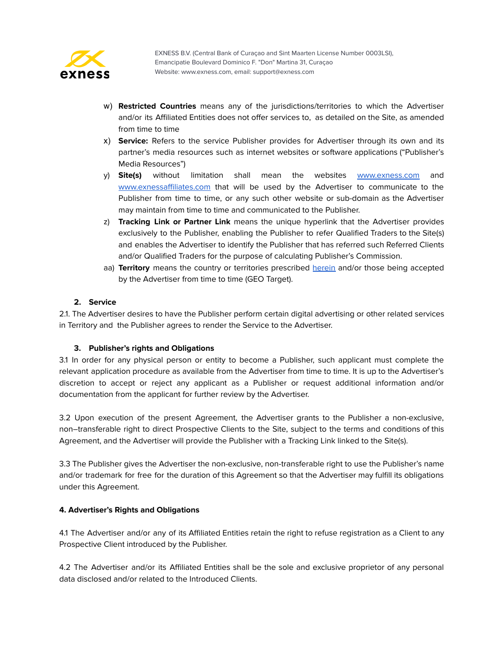

- w) **Restricted Countries** means any of the jurisdictions/territories to which the Advertiser and/or its Affiliated Entities does not offer services to, as detailed on the Site, as amended from time to time
- x) **Service:** Refers to the service Publisher provides for Advertiser through its own and its partner's media resources such as internet websites or software applications ("Publisher's Media Resources")
- y) **Site(s)** without limitation shall mean the websites **[www.exness.com](http://www.exness.com)** and [www.exnessaffiliates.com](http://www.exnessaffiliates.com) that will be used by the Advertiser to communicate to the Publisher from time to time, or any such other website or sub-domain as the Advertiser may maintain from time to time and communicated to the Publisher.
- z) **Tracking Link or Partner Link** means the unique hyperlink that the Advertiser provides exclusively to the Publisher, enabling the Publisher to refer Qualified Traders to the Site(s) and enables the Advertiser to identify the Publisher that has referred such Referred Clients and/or Qualified Traders for the purpose of calculating Publisher's Commission.
- aa) **Territory** means the country or territories prescribed [herein](https://get.exnessaffiliates.help/hc/en-us/articles/360011050239-Payouts) and/or those being accepted by the Advertiser from time to time (GEO Target).

# **2. Service**

2.1. The Advertiser desires to have the Publisher perform certain digital advertising or other related services in Territory and the Publisher agrees to render the Service to the Advertiser.

## **3. Publisher's rights and Obligations**

3.1 In order for any physical person or entity to become a Publisher, such applicant must complete the relevant application procedure as available from the Advertiser from time to time. It is up to the Advertiser's discretion to accept or reject any applicant as a Publisher or request additional information and/or documentation from the applicant for further review by the Advertiser.

3.2 Upon execution of the present Agreement, the Advertiser grants to the Publisher a non-exclusive, non–transferable right to direct Prospective Clients to the Site, subject to the terms and conditions of this Agreement, and the Advertiser will provide the Publisher with a Tracking Link linked to the Site(s).

3.3 The Publisher gives the Advertiser the non-exclusive, non-transferable right to use the Publisher's name and/or trademark for free for the duration of this Agreement so that the Advertiser may fulfill its obligations under this Agreement.

## **4. Advertiser's Rights and Obligations**

4.1 The Advertiser and/or any of its Affiliated Entities retain the right to refuse registration as a Client to any Prospective Client introduced by the Publisher.

4.2 The Advertiser and/or its Affiliated Entities shall be the sole and exclusive proprietor of any personal data disclosed and/or related to the Introduced Clients.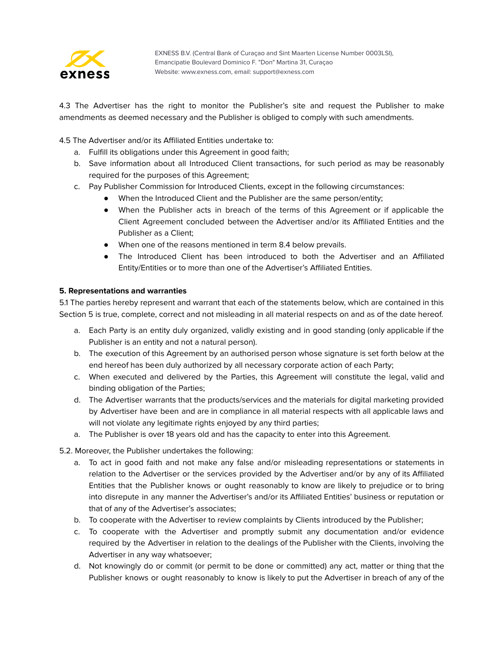

4.3 The Advertiser has the right to monitor the Publisher's site and request the Publisher to make amendments as deemed necessary and the Publisher is obliged to comply with such amendments.

4.5 The Advertiser and/or its Affiliated Entities undertake to:

- a. Fulfill its obligations under this Agreement in good faith;
- b. Save information about all Introduced Client transactions, for such period as may be reasonably required for the purposes of this Agreement;
- c. Pay Publisher Commission for Introduced Clients, except in the following circumstances:
	- When the Introduced Client and the Publisher are the same person/entity;
	- When the Publisher acts in breach of the terms of this Agreement or if applicable the Client Agreement concluded between the Advertiser and/or its Affiliated Entities and the Publisher as a Client;
	- When one of the reasons mentioned in term 8.4 below prevails.
	- The Introduced Client has been introduced to both the Advertiser and an Affiliated Entity/Entities or to more than one of the Advertiser's Affiliated Entities.

## **5. Representations and warranties**

5.1 The parties hereby represent and warrant that each of the statements below, which are contained in this Section 5 is true, complete, correct and not misleading in all material respects on and as of the date hereof.

- a. Each Party is an entity duly organized, validly existing and in good standing (only applicable if the Publisher is an entity and not a natural person).
- b. The execution of this Agreement by an authorised person whose signature is set forth below at the end hereof has been duly authorized by all necessary corporate action of each Party;
- c. When executed and delivered by the Parties, this Agreement will constitute the legal, valid and binding obligation of the Parties;
- d. The Advertiser warrants that the products/services and the materials for digital marketing provided by Advertiser have been and are in compliance in all material respects with all applicable laws and will not violate any legitimate rights enjoyed by any third parties;
- a. The Publisher is over 18 years old and has the capacity to enter into this Agreement.

## 5.2. Moreover, the Publisher undertakes the following:

- a. To act in good faith and not make any false and/or misleading representations or statements in relation to the Advertiser or the services provided by the Advertiser and/or by any of its Affiliated Entities that the Publisher knows or ought reasonably to know are likely to prejudice or to bring into disrepute in any manner the Advertiser's and/or its Affiliated Entities' business or reputation or that of any of the Advertiser's associates;
- b. To cooperate with the Advertiser to review complaints by Clients introduced by the Publisher;
- c. To cooperate with the Advertiser and promptly submit any documentation and/or evidence required by the Advertiser in relation to the dealings of the Publisher with the Clients, involving the Advertiser in any way whatsoever;
- d. Not knowingly do or commit (or permit to be done or committed) any act, matter or thing that the Publisher knows or ought reasonably to know is likely to put the Advertiser in breach of any of the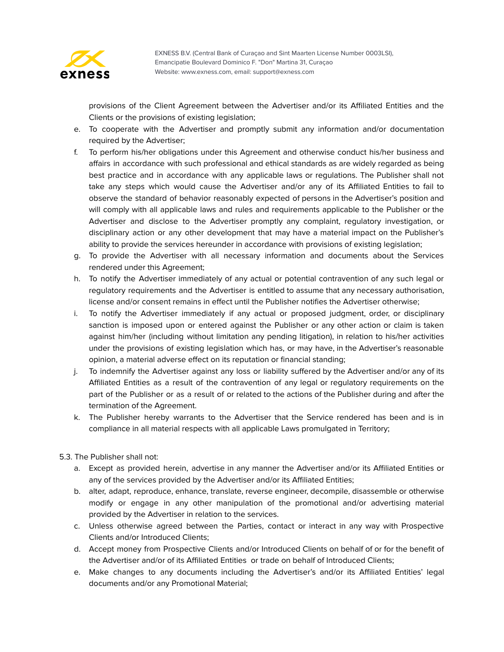

provisions of the Client Agreement between the Advertiser and/or its Affiliated Entities and the Clients or the provisions of existing legislation;

- e. To cooperate with the Advertiser and promptly submit any information and/or documentation required by the Advertiser;
- f. To perform his/her obligations under this Agreement and otherwise conduct his/her business and affairs in accordance with such professional and ethical standards as are widely regarded as being best practice and in accordance with any applicable laws or regulations. The Publisher shall not take any steps which would cause the Advertiser and/or any of its Affiliated Entities to fail to observe the standard of behavior reasonably expected of persons in the Advertiser's position and will comply with all applicable laws and rules and requirements applicable to the Publisher or the Advertiser and disclose to the Advertiser promptly any complaint, regulatory investigation, or disciplinary action or any other development that may have a material impact on the Publisher's ability to provide the services hereunder in accordance with provisions of existing legislation;
- g. To provide the Advertiser with all necessary information and documents about the Services rendered under this Agreement;
- h. To notify the Advertiser immediately of any actual or potential contravention of any such legal or regulatory requirements and the Advertiser is entitled to assume that any necessary authorisation, license and/or consent remains in effect until the Publisher notifies the Advertiser otherwise;
- i. To notify the Advertiser immediately if any actual or proposed judgment, order, or disciplinary sanction is imposed upon or entered against the Publisher or any other action or claim is taken against him/her (including without limitation any pending litigation), in relation to his/her activities under the provisions of existing legislation which has, or may have, in the Advertiser's reasonable opinion, a material adverse effect on its reputation or financial standing;
- j. To indemnify the Advertiser against any loss or liability suffered by the Advertiser and/or any of its Affiliated Entities as a result of the contravention of any legal or regulatory requirements on the part of the Publisher or as a result of or related to the actions of the Publisher during and after the termination of the Agreement.
- k. The Publisher hereby warrants to the Advertiser that the Service rendered has been and is in compliance in all material respects with all applicable Laws promulgated in Territory;
- 5.3. The Publisher shall not:
	- a. Except as provided herein, advertise in any manner the Advertiser and/or its Affiliated Entities or any of the services provided by the Advertiser and/or its Affiliated Entities;
	- b. alter, adapt, reproduce, enhance, translate, reverse engineer, decompile, disassemble or otherwise modify or engage in any other manipulation of the promotional and/or advertising material provided by the Advertiser in relation to the services.
	- c. Unless otherwise agreed between the Parties, contact or interact in any way with Prospective Clients and/or Introduced Clients;
	- d. Accept money from Prospective Clients and/or Introduced Clients on behalf of or for the benefit of the Advertiser and/or of its Affiliated Entities or trade on behalf of Introduced Clients;
	- e. Make changes to any documents including the Advertiser's and/or its Affiliated Entities' legal documents and/or any Promotional Material;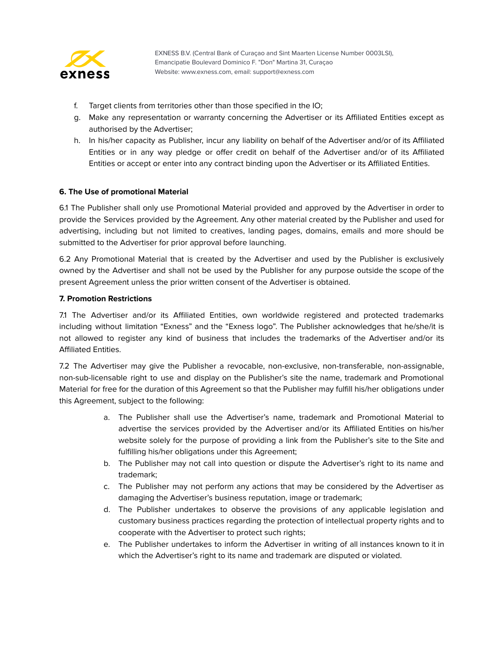

- f. Target clients from territories other than those specified in the IO;
- g. Make any representation or warranty concerning the Advertiser or its Affiliated Entities except as authorised by the Advertiser;
- h. In his/her capacity as Publisher, incur any liability on behalf of the Advertiser and/or of its Affiliated Entities or in any way pledge or offer credit on behalf of the Advertiser and/or of its Affiliated Entities or accept or enter into any contract binding upon the Advertiser or its Affiliated Entities.

## **6. The Use of promotional Material**

6.1 The Publisher shall only use Promotional Material provided and approved by the Advertiser in order to provide the Services provided by the Agreement. Any other material created by the Publisher and used for advertising, including but not limited to creatives, landing pages, domains, emails and more should be submitted to the Advertiser for prior approval before launching.

6.2 Any Promotional Material that is created by the Advertiser and used by the Publisher is exclusively owned by the Advertiser and shall not be used by the Publisher for any purpose outside the scope of the present Agreement unless the prior written consent of the Advertiser is obtained.

## **7. Promotion Restrictions**

7.1 The Advertiser and/or its Affiliated Entities, own worldwide registered and protected trademarks including without limitation "Exness" and the "Exness logo". The Publisher acknowledges that he/she/it is not allowed to register any kind of business that includes the trademarks of the Advertiser and/or its Affiliated Entities.

7.2 The Advertiser may give the Publisher a revocable, non-exclusive, non-transferable, non-assignable, non-sub-licensable right to use and display on the Publisher's site the name, trademark and Promotional Material for free for the duration of this Agreement so that the Publisher may fulfill his/her obligations under this Agreement, subject to the following:

- a. The Publisher shall use the Advertiser's name, trademark and Promotional Material to advertise the services provided by the Advertiser and/or its Affiliated Entities on his/her website solely for the purpose of providing a link from the Publisher's site to the Site and fulfilling his/her obligations under this Agreement;
- b. The Publisher may not call into question or dispute the Advertiser's right to its name and trademark;
- c. The Publisher may not perform any actions that may be considered by the Advertiser as damaging the Advertiser's business reputation, image or trademark;
- d. The Publisher undertakes to observe the provisions of any applicable legislation and customary business practices regarding the protection of intellectual property rights and to cooperate with the Advertiser to protect such rights;
- e. The Publisher undertakes to inform the Advertiser in writing of all instances known to it in which the Advertiser's right to its name and trademark are disputed or violated.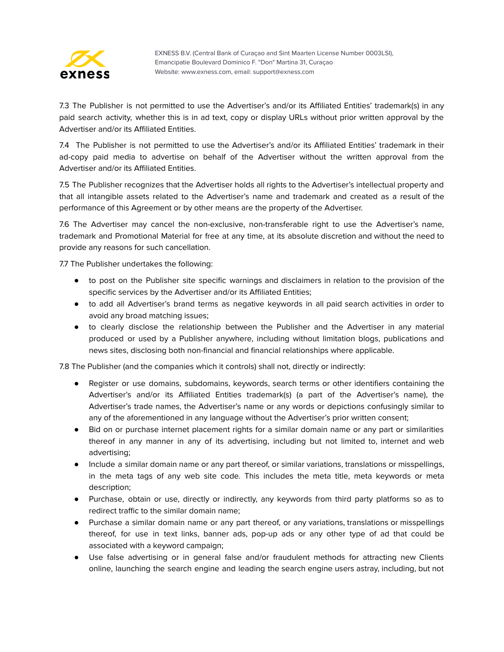

7.3 The Publisher is not permitted to use the Advertiser's and/or its Affiliated Entities' trademark(s) in any paid search activity, whether this is in ad text, copy or display URLs without prior written approval by the Advertiser and/or its Affiliated Entities.

7.4 The Publisher is not permitted to use the Advertiser's and/or its Affiliated Entities' trademark in their ad-copy paid media to advertise on behalf of the Advertiser without the written approval from the Advertiser and/or its Affiliated Entities.

7.5 The Publisher recognizes that the Advertiser holds all rights to the Advertiser's intellectual property and that all intangible assets related to the Advertiser's name and trademark and created as a result of the performance of this Agreement or by other means are the property of the Advertiser.

7.6 The Advertiser may cancel the non-exclusive, non-transferable right to use the Advertiser's name, trademark and Promotional Material for free at any time, at its absolute discretion and without the need to provide any reasons for such cancellation.

7.7 The Publisher undertakes the following:

- to post on the Publisher site specific warnings and disclaimers in relation to the provision of the specific services by the Advertiser and/or its Affiliated Entities;
- to add all Advertiser's brand terms as negative keywords in all paid search activities in order to avoid any broad matching issues;
- to clearly disclose the relationship between the Publisher and the Advertiser in any material produced or used by a Publisher anywhere, including without limitation blogs, publications and news sites, disclosing both non-financial and financial relationships where applicable.

7.8 The Publisher (and the companies which it controls) shall not, directly or indirectly:

- Register or use domains, subdomains, keywords, search terms or other identifiers containing the Advertiser's and/or its Affiliated Entities trademark(s) (a part of the Advertiser's name), the Advertiser's trade names, the Advertiser's name or any words or depictions confusingly similar to any of the aforementioned in any language without the Advertiser's prior written consent;
- Bid on or purchase internet placement rights for a similar domain name or any part or similarities thereof in any manner in any of its advertising, including but not limited to, internet and web advertising;
- Include a similar domain name or any part thereof, or similar variations, translations or misspellings, in the meta tags of any web site code. This includes the meta title, meta keywords or meta description;
- Purchase, obtain or use, directly or indirectly, any keywords from third party platforms so as to redirect traffic to the similar domain name;
- Purchase a similar domain name or any part thereof, or any variations, translations or misspellings thereof, for use in text links, banner ads, pop-up ads or any other type of ad that could be associated with a keyword campaign;
- Use false advertising or in general false and/or fraudulent methods for attracting new Clients online, launching the search engine and leading the search engine users astray, including, but not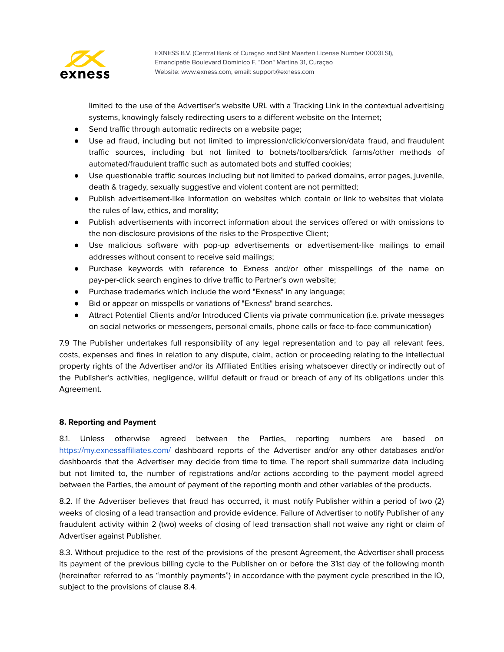

limited to the use of the Advertiser's website URL with a Tracking Link in the contextual advertising systems, knowingly falsely redirecting users to a different website on the Internet;

- Send traffic through automatic redirects on a website page;
- Use ad fraud, including but not limited to impression/click/conversion/data fraud, and fraudulent traffic sources, including but not limited to botnets/toolbars/click farms/other methods of automated/fraudulent traffic such as automated bots and stuffed cookies;
- Use questionable traffic sources including but not limited to parked domains, error pages, juvenile, death & tragedy, sexually suggestive and violent content are not permitted;
- Publish advertisement-like information on websites which contain or link to websites that violate the rules of law, ethics, and morality;
- Publish advertisements with incorrect information about the services offered or with omissions to the non-disclosure provisions of the risks to the Prospective Client;
- Use malicious software with pop-up advertisements or advertisement-like mailings to email addresses without consent to receive said mailings;
- Purchase keywords with reference to Exness and/or other misspellings of the name on pay-per-click search engines to drive traffic to Partner's own website;
- Purchase trademarks which include the word "Exness" in any language;
- Bid or appear on misspells or variations of "Exness" brand searches.
- Attract Potential Clients and/or Introduced Clients via private communication (i.e. private messages on social networks or messengers, personal emails, phone calls or face-to-face communication)

7.9 The Publisher undertakes full responsibility of any legal representation and to pay all relevant fees, costs, expenses and fines in relation to any dispute, claim, action or proceeding relating to the intellectual property rights of the Advertiser and/or its Affiliated Entities arising whatsoever directly or indirectly out of the Publisher's activities, negligence, willful default or fraud or breach of any of its obligations under this Agreement.

## **8. Reporting and Payment**

8.1. Unless otherwise agreed between the Parties, reporting numbers are based on <https://my.exnessaffiliates.com/> dashboard reports of the Advertiser and/or any other databases and/or dashboards that the Advertiser may decide from time to time. The report shall summarize data including but not limited to, the number of registrations and/or actions according to the payment model agreed between the Parties, the amount of payment of the reporting month and other variables of the products.

8.2. If the Advertiser believes that fraud has occurred, it must notify Publisher within a period of two (2) weeks of closing of a lead transaction and provide evidence. Failure of Advertiser to notify Publisher of any fraudulent activity within 2 (two) weeks of closing of lead transaction shall not waive any right or claim of Advertiser against Publisher.

8.3. Without prejudice to the rest of the provisions of the present Agreement, the Advertiser shall process its payment of the previous billing cycle to the Publisher on or before the 31st day of the following month (hereinafter referred to as "monthly payments") in accordance with the payment cycle prescribed in the IO, subject to the provisions of clause 8.4.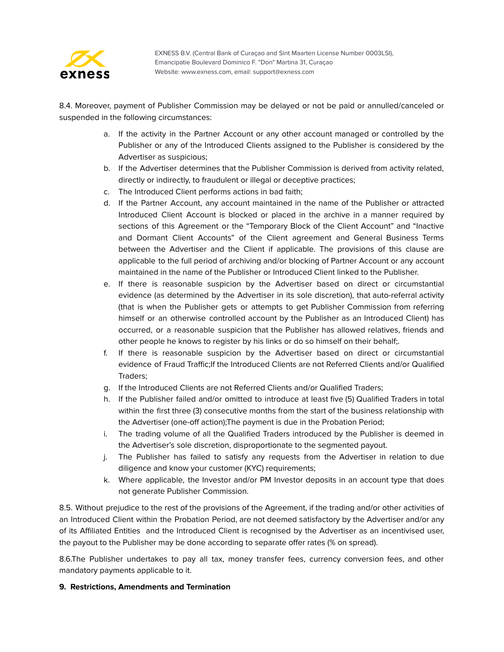

8.4. Moreover, payment of Publisher Commission may be delayed or not be paid or annulled/canceled or suspended in the following circumstances:

- a. If the activity in the Partner Account or any other account managed or controlled by the Publisher or any of the Introduced Clients assigned to the Publisher is considered by the Advertiser as suspicious;
- b. If the Advertiser determines that the Publisher Commission is derived from activity related, directly or indirectly, to fraudulent or illegal or deceptive practices;
- c. The Introduced Client performs actions in bad faith;
- d. If the Partner Account, any account maintained in the name of the Publisher or attracted Introduced Client Account is blocked or placed in the archive in a manner required by sections of this Agreement or the "Temporary Block of the Client Account" and "Inactive and Dormant Client Accounts" of the Client agreement and General Business Terms between the Advertiser and the Client if applicable. The provisions of this clause are applicable to the full period of archiving and/or blocking of Partner Account or any account maintained in the name of the Publisher or Introduced Client linked to the Publisher.
- e. If there is reasonable suspicion by the Advertiser based on direct or circumstantial evidence (as determined by the Advertiser in its sole discretion), that auto-referral activity (that is when the Publisher gets or attempts to get Publisher Commission from referring himself or an otherwise controlled account by the Publisher as an Introduced Client) has occurred, or a reasonable suspicion that the Publisher has allowed relatives, friends and other people he knows to register by his links or do so himself on their behalf;.
- f. If there is reasonable suspicion by the Advertiser based on direct or circumstantial evidence of Fraud Traffic;If the Introduced Clients are not Referred Clients and/or Qualified Traders;
- g. If the Introduced Clients are not Referred Clients and/or Qualified Traders;
- h. If the Publisher failed and/or omitted to introduce at least five (5) Qualified Traders in total within the first three (3) consecutive months from the start of the business relationship with the Advertiser (one-off action);The payment is due in the Probation Period;
- i. The trading volume of all the Qualified Traders introduced by the Publisher is deemed in the Advertiser's sole discretion, disproportionate to the segmented payout.
- j. The Publisher has failed to satisfy any requests from the Advertiser in relation to due diligence and know your customer (KYC) requirements;
- k. Where applicable, the Investor and/or PM Investor deposits in an account type that does not generate Publisher Commission.

8.5. Without prejudice to the rest of the provisions of the Agreement, if the trading and/or other activities of an Introduced Client within the Probation Period, are not deemed satisfactory by the Advertiser and/or any of its Affiliated Entities and the Introduced Client is recognised by the Advertiser as an incentivised user, the payout to the Publisher may be done according to separate offer rates (% on spread).

8.6.The Publisher undertakes to pay all tax, money transfer fees, currency conversion fees, and other mandatory payments applicable to it.

## **9. Restrictions, Amendments and Termination**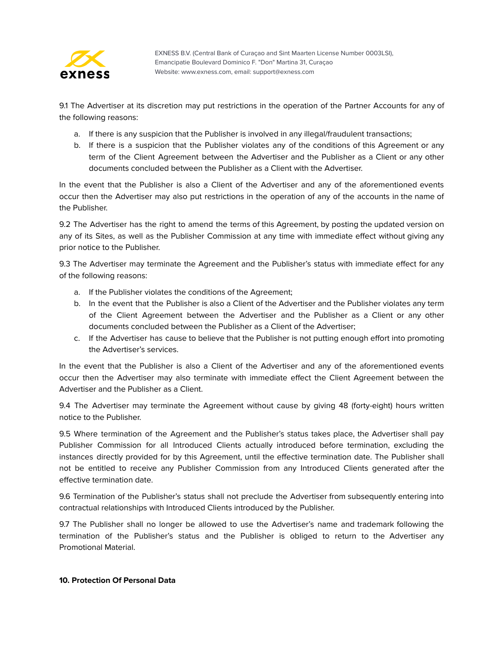

9.1 The Advertiser at its discretion may put restrictions in the operation of the Partner Accounts for any of the following reasons:

- a. If there is any suspicion that the Publisher is involved in any illegal/fraudulent transactions;
- b. If there is a suspicion that the Publisher violates any of the conditions of this Agreement or any term of the Client Agreement between the Advertiser and the Publisher as a Client or any other documents concluded between the Publisher as a Client with the Advertiser.

In the event that the Publisher is also a Client of the Advertiser and any of the aforementioned events occur then the Advertiser may also put restrictions in the operation of any of the accounts in the name of the Publisher.

9.2 The Advertiser has the right to amend the terms of this Agreement, by posting the updated version on any of its Sites, as well as the Publisher Commission at any time with immediate effect without giving any prior notice to the Publisher.

9.3 The Advertiser may terminate the Agreement and the Publisher's status with immediate effect for any of the following reasons:

- a. If the Publisher violates the conditions of the Agreement;
- b. In the event that the Publisher is also a Client of the Advertiser and the Publisher violates any term of the Client Agreement between the Advertiser and the Publisher as a Client or any other documents concluded between the Publisher as a Client of the Advertiser;
- c. If the Advertiser has cause to believe that the Publisher is not putting enough effort into promoting the Advertiser's services.

In the event that the Publisher is also a Client of the Advertiser and any of the aforementioned events occur then the Advertiser may also terminate with immediate effect the Client Agreement between the Advertiser and the Publisher as a Client.

9.4 The Advertiser may terminate the Agreement without cause by giving 48 (forty-eight) hours written notice to the Publisher.

9.5 Where termination of the Agreement and the Publisher's status takes place, the Advertiser shall pay Publisher Commission for all Introduced Clients actually introduced before termination, excluding the instances directly provided for by this Agreement, until the effective termination date. The Publisher shall not be entitled to receive any Publisher Commission from any Introduced Clients generated after the effective termination date.

9.6 Termination of the Publisher's status shall not preclude the Advertiser from subsequently entering into contractual relationships with Introduced Clients introduced by the Publisher.

9.7 The Publisher shall no longer be allowed to use the Advertiser's name and trademark following the termination of the Publisher's status and the Publisher is obliged to return to the Advertiser any Promotional Material.

# **10. Protection Of Personal Data**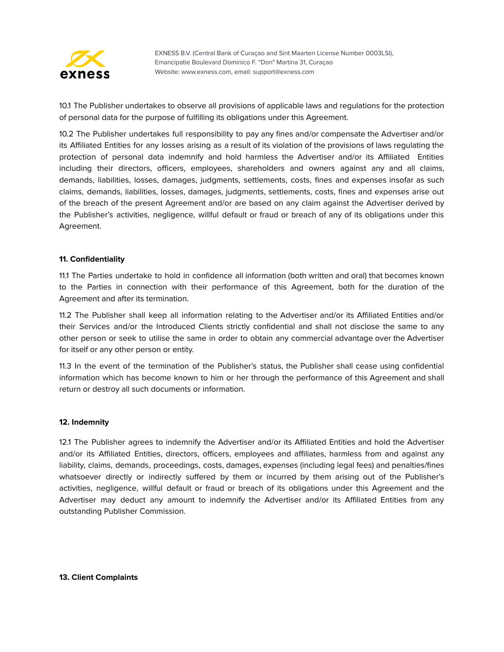

10.1 The Publisher undertakes to observe all provisions of applicable laws and regulations for the protection of personal data for the purpose of fulfilling its obligations under this Agreement.

10.2 The Publisher undertakes full responsibility to pay any fines and/or compensate the Advertiser and/or its Affiliated Entities for any losses arising as a result of its violation of the provisions of laws regulating the protection of personal data indemnify and hold harmless the Advertiser and/or its Affiliated Entities including their directors, officers, employees, shareholders and owners against any and all claims, demands, liabilities, losses, damages, judgments, settlements, costs, fines and expenses insofar as such claims, demands, liabilities, losses, damages, judgments, settlements, costs, fines and expenses arise out of the breach of the present Agreement and/or are based on any claim against the Advertiser derived by the Publisher's activities, negligence, willful default or fraud or breach of any of its obligations under this Agreement.

#### **11. Confidentiality**

11.1 The Parties undertake to hold in confidence all information (both written and oral) that becomes known to the Parties in connection with their performance of this Agreement, both for the duration of the Agreement and after its termination.

11.2 The Publisher shall keep all information relating to the Advertiser and/or its Affiliated Entities and/or their Services and/or the Introduced Clients strictly confidential and shall not disclose the same to any other person or seek to utilise the same in order to obtain any commercial advantage over the Advertiser for itself or any other person or entity.

11.3 In the event of the termination of the Publisher's status, the Publisher shall cease using confidential information which has become known to him or her through the performance of this Agreement and shall return or destroy all such documents or information.

#### **12. Indemnity**

12.1 The Publisher agrees to indemnify the Advertiser and/or its Affiliated Entities and hold the Advertiser and/or its Affiliated Entities, directors, officers, employees and affiliates, harmless from and against any liability, claims, demands, proceedings, costs, damages, expenses (including legal fees) and penalties/fines whatsoever directly or indirectly suffered by them or incurred by them arising out of the Publisher's activities, negligence, willful default or fraud or breach of its obligations under this Agreement and the Advertiser may deduct any amount to indemnify the Advertiser and/or its Affiliated Entities from any outstanding Publisher Commission.

**13. Client Complaints**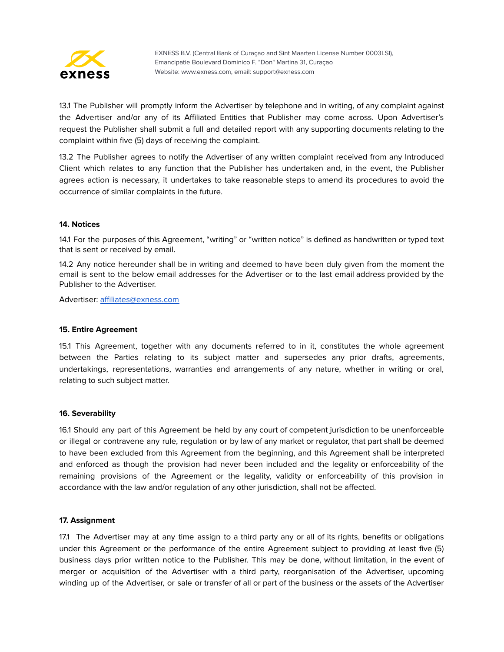

13.1 The Publisher will promptly inform the Advertiser by telephone and in writing, of any complaint against the Advertiser and/or any of its Affiliated Entities that Publisher may come across. Upon Advertiser's request the Publisher shall submit a full and detailed report with any supporting documents relating to the complaint within five (5) days of receiving the complaint.

13.2 The Publisher agrees to notify the Advertiser of any written complaint received from any Introduced Client which relates to any function that the Publisher has undertaken and, in the event, the Publisher agrees action is necessary, it undertakes to take reasonable steps to amend its procedures to avoid the occurrence of similar complaints in the future.

## **14. Notices**

14.1 For the purposes of this Agreement, "writing" or "written notice" is defined as handwritten or typed text that is sent or received by email.

14.2 Any notice hereunder shall be in writing and deemed to have been duly given from the moment the email is sent to the below email addresses for the Advertiser or to the last email address provided by the Publisher to the Advertiser.

Advertiser: [affiliates@exness.com](mailto:affiliates@exness.com)

#### **15. Entire Agreement**

15.1 This Agreement, together with any documents referred to in it, constitutes the whole agreement between the Parties relating to its subject matter and supersedes any prior drafts, agreements, undertakings, representations, warranties and arrangements of any nature, whether in writing or oral, relating to such subject matter.

#### **16. Severability**

16.1 Should any part of this Agreement be held by any court of competent jurisdiction to be unenforceable or illegal or contravene any rule, regulation or by law of any market or regulator, that part shall be deemed to have been excluded from this Agreement from the beginning, and this Agreement shall be interpreted and enforced as though the provision had never been included and the legality or enforceability of the remaining provisions of the Agreement or the legality, validity or enforceability of this provision in accordance with the law and/or regulation of any other jurisdiction, shall not be affected.

#### **17. Assignment**

17.1 The Advertiser may at any time assign to a third party any or all of its rights, benefits or obligations under this Agreement or the performance of the entire Agreement subject to providing at least five (5) business days prior written notice to the Publisher. This may be done, without limitation, in the event of merger or acquisition of the Advertiser with a third party, reorganisation of the Advertiser, upcoming winding up of the Advertiser, or sale or transfer of all or part of the business or the assets of the Advertiser